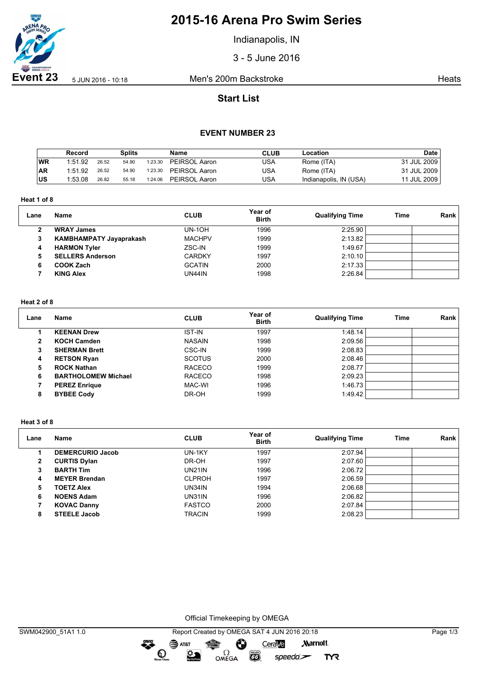

# **2015-16 Arena Pro Swim Series**

Indianapolis, IN

3 - 5 June 2016

**Event 23** 5 JUN 2016 - 10:18 Men's 200m Backstroke Heats

# **Start List**

## **EVENT NUMBER 23**

|           | Record  |       | <b>Splits</b> |         | Name          | <b>CLUB</b> | Location               | <b>Date</b> |
|-----------|---------|-------|---------------|---------|---------------|-------------|------------------------|-------------|
| <b>WR</b> | 1:51.92 | 26.52 | 54.90         | 1:23.30 | PEIRSOL Aaron | USA         | Rome (ITA)             | 31 JUL 2009 |
| <b>AR</b> | 1:51.92 | 26.52 | 54.90         | 1:23.30 | PEIRSOL Aaron | USA         | Rome (ITA)             | 31 JUL 2009 |
| US        | 1:53.08 | 26.82 | 55.18         | 1:24.06 | PEIRSOL Aaron | USA         | Indianapolis, IN (USA) | 11 JUL 2009 |

**Heat 1 of 8**

| Lane | Name                           | <b>CLUB</b>   | Year of<br><b>Birth</b> | <b>Qualifying Time</b> | Time | Rank |
|------|--------------------------------|---------------|-------------------------|------------------------|------|------|
|      | <b>WRAY James</b>              | <b>UN-10H</b> | 1996                    | 2:25.90                |      |      |
| 3    | <b>KAMBHAMPATY Jayaprakash</b> | <b>MACHPV</b> | 1999                    | 2:13.82                |      |      |
| 4    | <b>HARMON Tyler</b>            | ZSC-IN        | 1999                    | 1:49.67                |      |      |
| 5    | <b>SELLERS Anderson</b>        | <b>CARDKY</b> | 1997                    | 2:10.10                |      |      |
| 6    | <b>COOK Zach</b>               | <b>GCATIN</b> | 2000                    | 2:17.33                |      |      |
|      | <b>KING Alex</b>               | <b>UN44IN</b> | 1998                    | 2:26.84                |      |      |

### **Heat 2 of 8**

| Lane | <b>Name</b>                | <b>CLUB</b>   | Year of<br><b>Birth</b> | <b>Qualifying Time</b> | Time | Rank |
|------|----------------------------|---------------|-------------------------|------------------------|------|------|
|      | <b>KEENAN Drew</b>         | <b>IST-IN</b> | 1997                    | 1:48.14                |      |      |
| 2    | <b>KOCH Camden</b>         | <b>NASAIN</b> | 1998                    | 2:09.56                |      |      |
| 3    | <b>SHERMAN Brett</b>       | CSC-IN        | 1999                    | 2:08.83                |      |      |
| 4    | <b>RETSON Ryan</b>         | <b>SCOTUS</b> | 2000                    | 2:08.46                |      |      |
| 5    | <b>ROCK Nathan</b>         | <b>RACECO</b> | 1999                    | 2:08.77                |      |      |
| 6    | <b>BARTHOLOMEW Michael</b> | <b>RACECO</b> | 1998                    | 2:09.23                |      |      |
|      | <b>PEREZ Enrique</b>       | MAC-WI        | 1996                    | 1:46.73                |      |      |
| 8    | <b>BYBEE Cody</b>          | DR-OH         | 1999                    | 1:49.42                |      |      |

#### **Heat 3 of 8**

| Lane         | Name                    | <b>CLUB</b>   | Year of<br><b>Birth</b> | <b>Qualifying Time</b> | <b>Time</b> | Rank |
|--------------|-------------------------|---------------|-------------------------|------------------------|-------------|------|
|              | <b>DEMERCURIO Jacob</b> | UN-1KY        | 1997                    | 2:07.94                |             |      |
| $\mathbf{2}$ | <b>CURTIS Dylan</b>     | DR-OH         | 1997                    | 2:07.60                |             |      |
| 3            | <b>BARTH Tim</b>        | <b>UN21IN</b> | 1996                    | 2:06.72                |             |      |
| 4            | <b>MEYER Brendan</b>    | <b>CLPROH</b> | 1997                    | 2:06.59                |             |      |
| 5            | <b>TOETZ Alex</b>       | UN34IN        | 1994                    | 2:06.68                |             |      |
| 6            | <b>NOENS Adam</b>       | UN31IN        | 1996                    | 2:06.82                |             |      |
|              | <b>KOVAC Danny</b>      | <b>FASTCO</b> | 2000                    | 2:07.84                |             |      |
| 8            | <b>STEELE Jacob</b>     | <b>TRACIN</b> | 1999                    | 2:08.23                |             |      |

Official Timekeeping by OMEGA

Ô

**FHILLIPS** 

OMEGA

CeraVe

 $speedo$ 

**Marriott** 

**TYR** 

 $\bullet$ 

 $\odot$ 

SAT&T

 $\sum_{n=1}^{\infty}$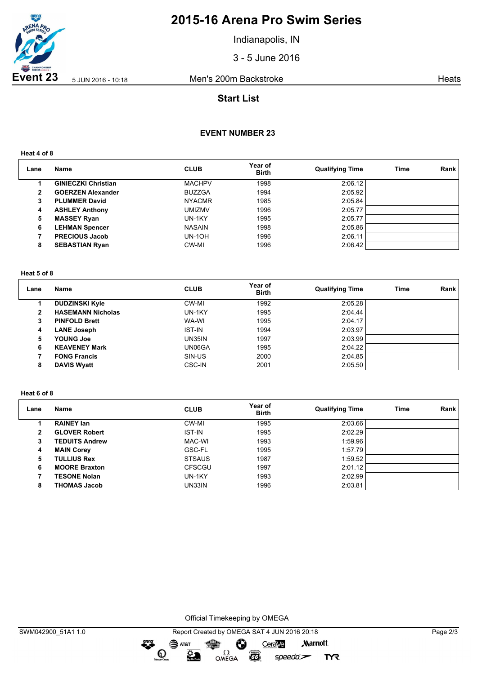

# **2015-16 Arena Pro Swim Series**

Indianapolis, IN

3 - 5 June 2016

**Event 23** 5 JUN 2016 - 10:18 Men's 200m Backstroke Heats

## **Start List**

## **EVENT NUMBER 23**

**Heat 4 of 8**

| Lane | Name                       | <b>CLUB</b>   | Year of<br><b>Birth</b> | <b>Qualifying Time</b> | Time | Rank |
|------|----------------------------|---------------|-------------------------|------------------------|------|------|
|      | <b>GINIECZKI Christian</b> | <b>MACHPV</b> | 1998                    | 2:06.12                |      |      |
| 2    | <b>GOERZEN Alexander</b>   | <b>BUZZGA</b> | 1994                    | 2:05.92                |      |      |
| 3    | <b>PLUMMER David</b>       | <b>NYACMR</b> | 1985                    | 2:05.84                |      |      |
| 4    | <b>ASHLEY Anthony</b>      | <b>UMIZMV</b> | 1996                    | 2:05.77                |      |      |
| 5    | <b>MASSEY Ryan</b>         | UN-1KY        | 1995                    | 2:05.77                |      |      |
| 6    | <b>LEHMAN Spencer</b>      | <b>NASAIN</b> | 1998                    | 2:05.86                |      |      |
|      | <b>PRECIOUS Jacob</b>      | UN-1OH        | 1996                    | 2:06.11                |      |      |
| 8    | <b>SEBASTIAN Ryan</b>      | CW-MI         | 1996                    | 2:06.42                |      |      |

#### **Heat 5 of 8**

| Lane | Name                     | <b>CLUB</b>   | Year of<br><b>Birth</b> | <b>Qualifying Time</b> | Time | Rank |
|------|--------------------------|---------------|-------------------------|------------------------|------|------|
|      | <b>DUDZINSKI Kyle</b>    | CW-MI         | 1992                    | 2:05.28                |      |      |
| 2    | <b>HASEMANN Nicholas</b> | UN-1KY        | 1995                    | 2:04.44                |      |      |
| 3    | <b>PINFOLD Brett</b>     | WA-WI         | 1995                    | 2:04.17                |      |      |
| 4    | <b>LANE Joseph</b>       | <b>IST-IN</b> | 1994                    | 2:03.97                |      |      |
| 5    | YOUNG Joe                | UN35IN        | 1997                    | 2:03.99                |      |      |
| 6    | <b>KEAVENEY Mark</b>     | UN06GA        | 1995                    | 2:04.22                |      |      |
|      | <b>FONG Francis</b>      | SIN-US        | 2000                    | 2:04.85                |      |      |
| 8    | <b>DAVIS Wyatt</b>       | CSC-IN        | 2001                    | 2:05.50                |      |      |

#### **Heat 6 of 8**

| Lane | Name                  | <b>CLUB</b>   | Year of<br><b>Birth</b> | <b>Qualifying Time</b> | Time | Rank |
|------|-----------------------|---------------|-------------------------|------------------------|------|------|
|      | <b>RAINEY Ian</b>     | CW-MI         | 1995                    | 2:03.66                |      |      |
| 2    | <b>GLOVER Robert</b>  | <b>IST-IN</b> | 1995                    | 2:02.29                |      |      |
| 3    | <b>TEDUITS Andrew</b> | MAC-WI        | 1993                    | 1:59.96                |      |      |
| 4    | <b>MAIN Corey</b>     | GSC-FL        | 1995                    | 1:57.79                |      |      |
| 5    | <b>TULLIUS Rex</b>    | <b>STSAUS</b> | 1987                    | 1:59.52                |      |      |
| 6    | <b>MOORE Braxton</b>  | <b>CFSCGU</b> | 1997                    | 2:01.12                |      |      |
|      | <b>TESONE Nolan</b>   | UN-1KY        | 1993                    | 2:02.99                |      |      |
| 8    | <b>THOMAS Jacob</b>   | UN33IN        | 1996                    | 2:03.81                |      |      |

Official Timekeeping by OMEGA

dreng:

 $\mathbf O$ 

 $\mathfrak{D}$ 

SWM042900\_51A1 1.0 Report Created by OMEGA SAT 4 JUN 2016 20:18 Page 2/3SAT&T CeraVe **Marriott** Ô OMEGA

 $\overline{G}$ 

 $speedo$ 

**TYR**